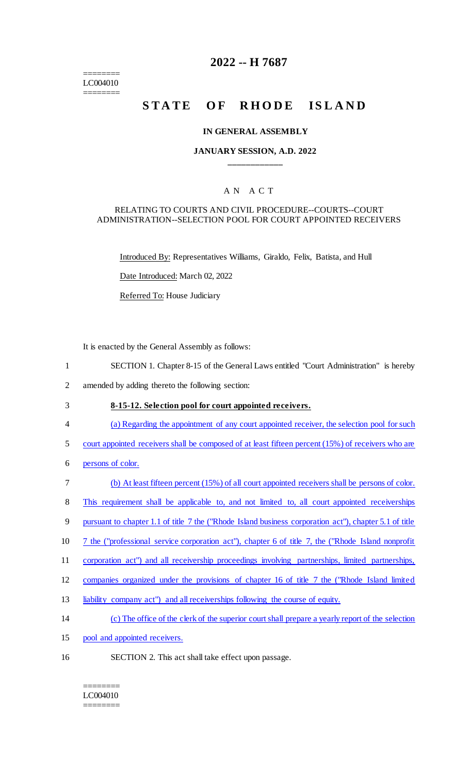======== LC004010 ========

# **2022 -- H 7687**

# **STATE OF RHODE ISLAND**

#### **IN GENERAL ASSEMBLY**

#### **JANUARY SESSION, A.D. 2022 \_\_\_\_\_\_\_\_\_\_\_\_**

### A N A C T

#### RELATING TO COURTS AND CIVIL PROCEDURE--COURTS--COURT ADMINISTRATION--SELECTION POOL FOR COURT APPOINTED RECEIVERS

Introduced By: Representatives Williams, Giraldo, Felix, Batista, and Hull

Date Introduced: March 02, 2022

Referred To: House Judiciary

It is enacted by the General Assembly as follows:

- 1 SECTION 1. Chapter 8-15 of the General Laws entitled "Court Administration" is hereby
- 2 amended by adding thereto the following section:

# 3 **8-15-12. Selection pool for court appointed receivers.**

- 4 (a) Regarding the appointment of any court appointed receiver, the selection pool for such
- 5 court appointed receivers shall be composed of at least fifteen percent (15%) of receivers who are
- 6 persons of color.
- 7 (b) At least fifteen percent (15%) of all court appointed receivers shall be persons of color.
- 8 This requirement shall be applicable to, and not limited to, all court appointed receiverships
- 9 pursuant to chapter 1.1 of title 7 the ("Rhode Island business corporation act"), chapter 5.1 of title
- 10 7 the ("professional service corporation act"), chapter 6 of title 7, the ("Rhode Island nonprofit
- 11 corporation act") and all receivership proceedings involving partnerships, limited partnerships,
- 12 companies organized under the provisions of chapter 16 of title 7 the ("Rhode Island limited
- 13 liability company act") and all receiverships following the course of equity.
- 14 (c) The office of the clerk of the superior court shall prepare a yearly report of the selection
- 15 pool and appointed receivers.
- 16 SECTION 2. This act shall take effect upon passage.

======== LC004010 ========